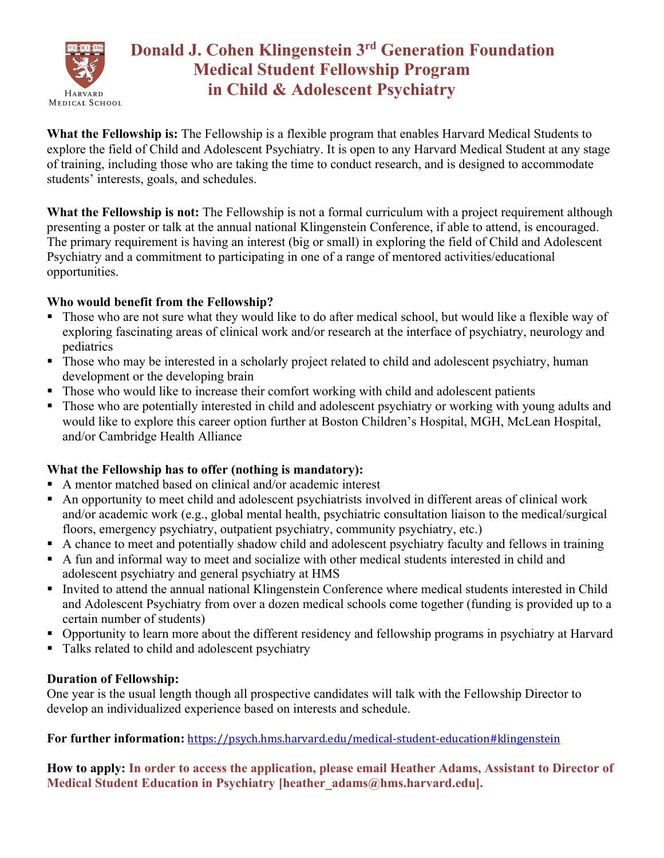

# **Donald J. Cohen Klingenstein 3rd Generation Foundation Medical Student Fellowship Program in Child & Adolescent Psychiatry**

**What the Fellowship is:** The Fellowship is a flexible program that enables Harvard Medical Students to explore the field of Child and Adolescent Psychiatry. It is open to any Harvard Medical Student at any stage of training, including those who are taking the time to conduct research, and is designed to accommodate students' interests, goals, and schedules.

**What the Fellowship is not:** The Fellowship is not a formal curriculum with a project requirement although presenting a poster or talk at the annual national Klingenstein Conference, if able to attend, is encouraged. The primary requirement is having an interest (big or small) in exploring the field of Child and Adolescent Psychiatry and a commitment to participating in one of a range of mentored activities/educational opportunities.

#### **Who would benefit from the Fellowship?**

- Those who are not sure what they would like to do after medical school, but would like a flexible way of exploring fascinating areas of clinical work and/or research at the interface of psychiatry, neurology and pediatrics
- Those who may be interested in a scholarly project related to child and adolescent psychiatry, human development or the developing brain
- Those who would like to increase their comfort working with child and adolescent patients
- Those who are potentially interested in child and adolescent psychiatry or working with young adults and would like to explore this career option further at Boston Children's Hospital, MGH, McLean Hospital, and/or Cambridge Health Alliance

## **What the Fellowship has to offer (nothing is mandatory):**

- A mentor matched based on clinical and/or academic interest
- § An opportunity to meet child and adolescent psychiatrists involved in different areas of clinical work and/or academic work (e.g., global mental health, psychiatric consultation liaison to the medical/surgical floors, emergency psychiatry, outpatient psychiatry, community psychiatry, etc.)
- A chance to meet and potentially shadow child and adolescent psychiatry faculty and fellows in training
- A fun and informal way to meet and socialize with other medical students interested in child and adolescent psychiatry and general psychiatry at HMS
- Invited to attend the annual national Klingenstein Conference where medical students interested in Child and Adolescent Psychiatry from over a dozen medical schools come together (funding is provided up to a certain number of students)
- § Opportunity to learn more about the different residency and fellowship programs in psychiatry at Harvard
- Talks related to child and adolescent psychiatry

## **Duration of Fellowship:**

One year is the usual length though all prospective candidates will talk with the Fellowship Director to develop an individualized experience based on interests and schedule.

## **For further information:** https://psych.hms.harvard.edu/medical-student-education#klingenstein

**How to apply: In order to access the application, please email Heather Adams, Assistant to Director of Medical Student Education in Psychiatry [heather\_adams@hms.harvard.edu].**